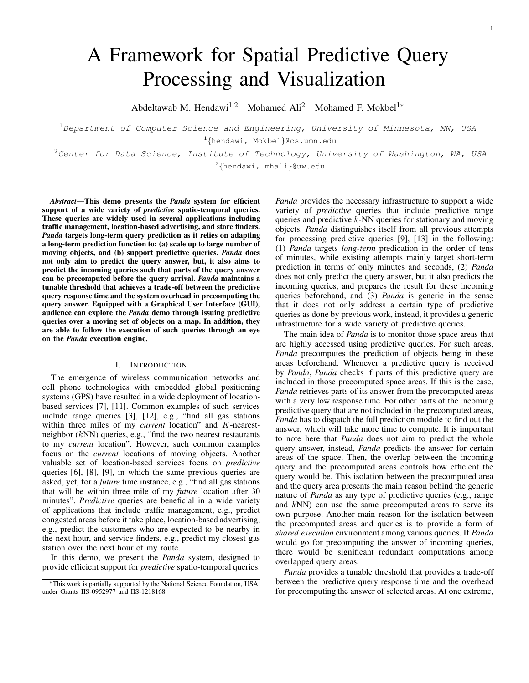1

# A Framework for Spatial Predictive Query Processing and Visualization

Abdeltawab M. Hendawi<sup>1,2</sup> Mohamed Ali<sup>2</sup> Mohamed F. Mokbel<sup>1</sup><sup>\*</sup>

 $1$ Department of Computer Science and Engineering, University of Minnesota, MN, USA 1 {hendawi, Mokbel}@cs.umn.edu

 $2$ Center for Data Science, Institute of Technology, University of Washington, WA, USA <sup>2</sup>{hendawi, mhali}@uw.edu

*Abstract***—This demo presents the** *Panda* **system for efficient support of a wide variety of** *predictive* **spatio-temporal queries. These queries are widely used in several applications including traffic management, location-based advertising, and store finders.** *Panda* **targets long-term query prediction as it relies on adapting a long-term prediction function to: (a) scale up to large number of moving objects, and (b) support predictive queries.** *Panda* **does not only aim to predict the query answer, but, it also aims to predict the incoming queries such that parts of the query answer can be precomputed before the query arrival.** *Panda* **maintains a tunable threshold that achieves a trade-off between the predictive query response time and the system overhead in precomputing the query answer. Equipped with a Graphical User Interface (GUI), audience can explore the** *Panda* **demo through issuing predictive queries over a moving set of objects on a map. In addition, they are able to follow the execution of such queries through an eye on the** *Panda* **execution engine.**

# I. INTRODUCTION

The emergence of wireless communication networks and cell phone technologies with embedded global positioning systems (GPS) have resulted in a wide deployment of locationbased services [7], [11]. Common examples of such services include range queries [3], [12], e.g., "find all gas stations within three miles of my *current* location" and K-nearestneighbor  $(kNN)$  queries, e.g., "find the two nearest restaurants to my *current* location". However, such common examples focus on the *current* locations of moving objects. Another valuable set of location-based services focus on *predictive* queries [6], [8], [9], in which the same previous queries are asked, yet, for a *future* time instance, e.g., "find all gas stations that will be within three mile of my *future* location after 30 minutes". *Predictive* queries are beneficial in a wide variety of applications that include traffic management, e.g., predict congested areas before it take place, location-based advertising, e.g., predict the customers who are expected to be nearby in the next hour, and service finders, e.g., predict my closest gas station over the next hour of my route.

In this demo, we present the *Panda* system, designed to provide efficient support for *predictive* spatio-temporal queries. *Panda* provides the necessary infrastructure to support a wide variety of *predictive* queries that include predictive range queries and predictive k-NN queries for stationary and moving objects. *Panda* distinguishes itself from all previous attempts for processing predictive queries [9], [13] in the following: (1) *Panda* targets *long-term* predication in the order of tens of minutes, while existing attempts mainly target short-term prediction in terms of only minutes and seconds, (2) *Panda* does not only predict the query answer, but it also predicts the incoming queries, and prepares the result for these incoming queries beforehand, and (3) *Panda* is generic in the sense that it does not only address a certain type of predictive queries as done by previous work, instead, it provides a generic infrastructure for a wide variety of predictive queries.

The main idea of *Panda* is to monitor those space areas that are highly accessed using predictive queries. For such areas, *Panda* precomputes the prediction of objects being in these areas beforehand. Whenever a predictive query is received by *Panda*, *Panda* checks if parts of this predictive query are included in those precomputed space areas. If this is the case, *Panda* retrieves parts of its answer from the precomputed areas with a very low response time. For other parts of the incoming predictive query that are not included in the precomputed areas, *Panda* has to dispatch the full prediction module to find out the answer, which will take more time to compute. It is important to note here that *Panda* does not aim to predict the whole query answer, instead, *Panda* predicts the answer for certain areas of the space. Then, the overlap between the incoming query and the precomputed areas controls how efficient the query would be. This isolation between the precomputed area and the query area presents the main reason behind the generic nature of *Panda* as any type of predictive queries (e.g., range and kNN) can use the same precomputed areas to serve its own purpose. Another main reason for the isolation between the precomputed areas and queries is to provide a form of *shared execution* environment among various queries. If *Panda* would go for precomputing the answer of incoming queries, there would be significant redundant computations among overlapped query areas.

*Panda* provides a tunable threshold that provides a trade-off between the predictive query response time and the overhead for precomputing the answer of selected areas. At one extreme,

<sup>∗</sup>This work is partially supported by the National Science Foundation, USA, under Grants IIS-0952977 and IIS-1218168.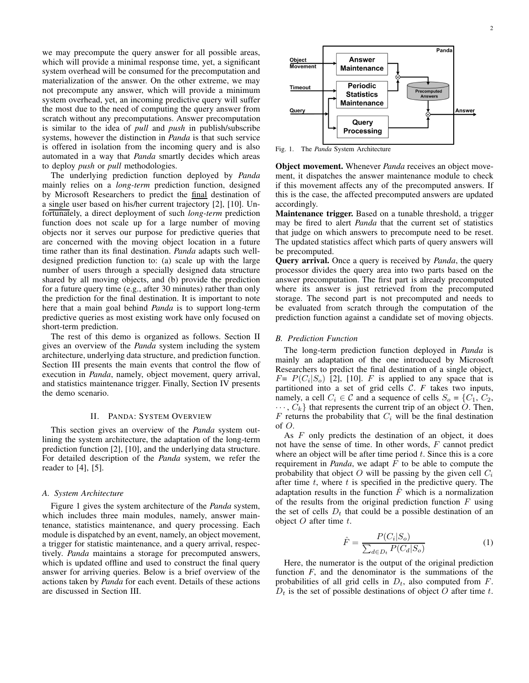we may precompute the query answer for all possible areas, which will provide a minimal response time, yet, a significant system overhead will be consumed for the precomputation and materialization of the answer. On the other extreme, we may not precompute any answer, which will provide a minimum system overhead, yet, an incoming predictive query will suffer the most due to the need of computing the query answer from scratch without any precomputations. Answer precomputation is similar to the idea of *pull* and *push* in publish/subscribe systems, however the distinction in *Panda* is that such service is offered in isolation from the incoming query and is also automated in a way that *Panda* smartly decides which areas to deploy *push* or *pull* methodologies.

The underlying prediction function deployed by *Panda* mainly relies on a *long-term* prediction function, designed by Microsoft Researchers to predict the final destination of a single user based on his/her current trajectory [2], [10]. Unfortunately, a direct deployment of such *long-term* prediction function does not scale up for a large number of moving objects nor it serves our purpose for predictive queries that are concerned with the moving object location in a future time rather than its final destination. *Panda* adapts such welldesigned prediction function to: (a) scale up with the large number of users through a specially designed data structure shared by all moving objects, and (b) provide the prediction for a future query time (e.g., after 30 minutes) rather than only the prediction for the final destination. It is important to note here that a main goal behind *Panda* is to support long-term predictive queries as most existing work have only focused on short-term prediction.

The rest of this demo is organized as follows. Section II gives an overview of the *Panda* system including the system architecture, underlying data structure, and prediction function. Section III presents the main events that control the flow of execution in *Panda*, namely, object movement, query arrival, and statistics maintenance trigger. Finally, Section IV presents the demo scenario.

#### II. PANDA: SYSTEM OVERVIEW

This section gives an overview of the *Panda* system outlining the system architecture, the adaptation of the long-term prediction function [2], [10], and the underlying data structure. For detailed description of the *Panda* system, we refer the reader to [4], [5].

#### *A. System Architecture*

Figure 1 gives the system architecture of the *Panda* system, which includes three main modules, namely, answer maintenance, statistics maintenance, and query processing. Each module is dispatched by an event, namely, an object movement, a trigger for statistic maintenance, and a query arrival, respectively. *Panda* maintains a storage for precomputed answers, which is updated offline and used to construct the final query answer for arriving queries. Below is a brief overview of the actions taken by *Panda* for each event. Details of these actions are discussed in Section III.



Fig. 1. The *Panda* System Architecture

**Object movement.** Whenever *Panda* receives an object movement, it dispatches the answer maintenance module to check if this movement affects any of the precomputed answers. If this is the case, the affected precomputed answers are updated accordingly.

**Maintenance trigger.** Based on a tunable threshold, a trigger may be fired to alert *Panda* that the current set of statistics that judge on which answers to precompute need to be reset. The updated statistics affect which parts of query answers will be precomputed.

**Query arrival.** Once a query is received by *Panda*, the query processor divides the query area into two parts based on the answer precomputation. The first part is already precomputed where its answer is just retrieved from the precomputed storage. The second part is not precomputed and needs to be evaluated from scratch through the computation of the prediction function against a candidate set of moving objects.

#### *B. Prediction Function*

The long-term prediction function deployed in *Panda* is mainly an adaptation of the one introduced by Microsoft Researchers to predict the final destination of a single object,  $F = P(C_i | S_o)$  [2], [10]. F is applied to any space that is partitioned into a set of grid cells C. *F* takes two inputs, namely, a cell  $C_i \in \mathcal{C}$  and a sequence of cells  $S_o = \{C_1, C_2,$  $\cdots$ ,  $C_k$  that represents the current trip of an object O. Then,  $F$  returns the probability that  $C_i$  will be the final destination of  $O$ .

As  $F$  only predicts the destination of an object, it does not have the sense of time. In other words, F cannot predict where an object will be after time period  $t$ . Since this is a core requirement in *Panda*, we adapt F to be able to compute the probability that object O will be passing by the given cell  $C_i$ after time  $t$ , where  $t$  is specified in the predictive query. The adaptation results in the function  $\hat{F}$  which is a normalization of the results from the original prediction function  $F$  using the set of cells  $D_t$  that could be a possible destination of an object  $O$  after time  $t$ .

$$
\hat{F} = \frac{P(C_i|S_o)}{\sum_{d \in D_t} P(C_d|S_o)}
$$
(1)

Here, the numerator is the output of the original prediction function *F*, and the denominator is the summations of the probabilities of all grid cells in  $D_t$ , also computed from  $F$ .  $D_t$  is the set of possible destinations of object O after time t.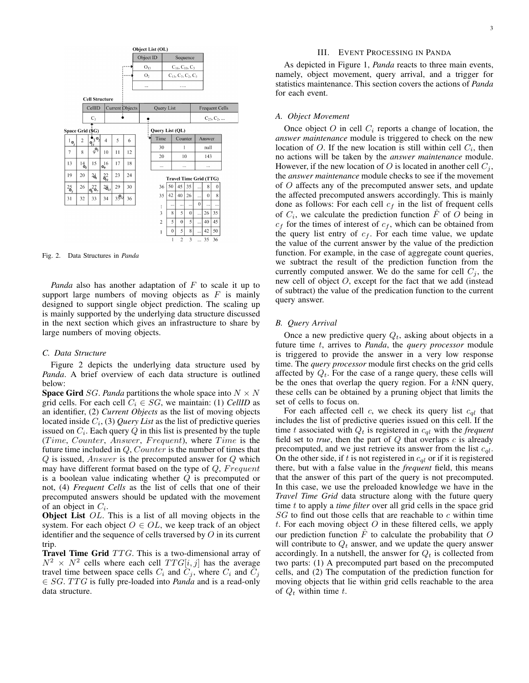

Fig. 2. Data Structures in *Panda*

*Panda* also has another adaptation of F to scale it up to support large numbers of moving objects as  $F$  is mainly designed to support single object prediction. The scaling up is mainly supported by the underlying data structure discussed in the next section which gives an infrastructure to share by large numbers of moving objects.

# *C. Data Structure*

Figure 2 depicts the underlying data structure used by *Panda*. A brief overview of each data structure is outlined below:

**Space Gird** SG. *Panda* partitions the whole space into  $N \times N$ grid cells. For each cell  $C_i \in SG$ , we maintain: (1) *CellID* as an identifier, (2) *Current Objects* as the list of moving objects located inside  $C_i$ , (3) *Query List* as the list of predictive queries issued on  $C_i$ . Each query  $Q$  in this list is presented by the tuple  $(Time, Counter, Answer, Frequently, where Time is the$ future time included in  $Q$ , Counter is the number of times that  $Q$  is issued, *Answer* is the precomputed answer for  $Q$  which may have different format based on the type of  $Q$ ,  $Frequent$ is a boolean value indicating whether  $Q$  is precomputed or not, (4) *Frequent Cells* as the list of cells that one of their precomputed answers should be updated with the movement of an object in  $C_i$ .

**Object List** OL. This is a list of all moving objects in the system. For each object  $O \in OL$ , we keep track of an object identifier and the sequence of cells traversed by  $O$  in its current trip.

**Travel Time Grid** TTG. This is a two-dimensional array of  $N^2 \times N^2$  cells where each cell  $TTG[i, j]$  has the average travel time between space cells  $C_i$  and  $C_j$ , where  $C_i$  and  $\overline{C_j}$  $\in SG$ . TTG is fully pre-loaded into *Panda* and is a read-only data structure.

# III. EVENT PROCESSING IN PANDA

As depicted in Figure 1, *Panda* reacts to three main events, namely, object movement, query arrival, and a trigger for statistics maintenance. This section covers the actions of *Panda* for each event.

# *A. Object Movement*

Once object O in cell  $C_i$  reports a change of location, the *answer maintenance* module is triggered to check on the new location of O. If the new location is still within cell  $C_i$ , then no actions will be taken by the *answer maintenance* module. However, if the new location of O is located in another cell  $C_i$ , the *answer maintenance* module checks to see if the movement of O affects any of the precomputed answer sets, and update the affected precomputed answers accordingly. This is mainly done as follows: For each cell  $c_f$  in the list of frequent cells of  $C_i$ , we calculate the prediction function  $\hat{F}$  of O being in  $c_f$  for the times of interest of  $c_f$ , which can be obtained from the query list entry of  $c_f$ . For each time value, we update the value of the current answer by the value of the prediction function. For example, in the case of aggregate count queries, we subtract the result of the prediction function from the currently computed answer. We do the same for cell  $C_j$ , the new cell of object O, except for the fact that we add (instead of subtract) the value of the predication function to the current query answer.

#### *B. Query Arrival*

Once a new predictive query  $Q_t$ , asking about objects in a future time t, arrives to *Panda*, the *query processor* module is triggered to provide the answer in a very low response time. The *query processor* module first checks on the grid cells affected by  $Q_t$ . For the case of a range query, these cells will be the ones that overlap the query region. For a  $kNN$  query, these cells can be obtained by a pruning object that limits the set of cells to focus on.

For each affected cell c, we check its query list  $c_{ql}$  that includes the list of predictive queries issued on this cell. If the time t associated with  $Q_t$  is registered in  $c_{ql}$  with the *frequent* field set to  $true$ , then the part of  $Q$  that overlaps  $c$  is already precomputed, and we just retrieve its answer from the list  $c_{ql}$ . On the other side, if t is not registered in  $c_{ql}$  or if it is registered there, but with a false value in the *frequent* field, this means that the answer of this part of the query is not precomputed. In this case, we use the preloaded knowledge we have in the *Travel Time Grid* data structure along with the future query time t to apply a *time filter* over all grid cells in the space grid  $SG$  to find out those cells that are reachable to  $c$  within time t. For each moving object  $O$  in these filtered cells, we apply our prediction function  $\ddot{F}$  to calculate the probability that O will contribute to  $Q_t$  answer, and we update the query answer accordingly. In a nutshell, the answer for  $Q_t$  is collected from two parts: (1) A precomputed part based on the precomputed cells, and (2) The computation of the prediction function for moving objects that lie within grid cells reachable to the area of  $Q_t$  within time t.